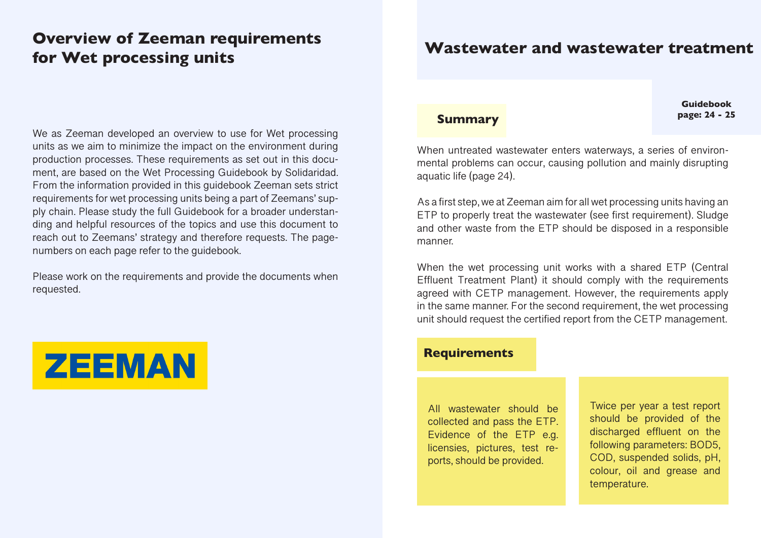# **Overview of Zeeman requirements for Wet processing units**

## We as Zeeman developed an overview to use for Wet processing units as we aim to minimize the impact on the environment during production processes. These requirements as set out in this document, are based on the Wet Processing Guidebook by Solidaridad. From the information provided in this guidebook Zeeman sets strict requirements for wet processing units being a part of Zeemans' supply chain. Please study the full Guidebook for a broader understanding and helpful resources of the topics and use this document to reach out to Zeemans' strategy and therefore requests. The pagenumbers on each page refer to the guidebook.

Please work on the requirements and provide the documents when requested.



# **Wastewater and wastewater treatment**

**Guidebook page: 24 - 25 page: 24 - 25** 

When untreated wastewater enters waterways, a series of environmental problems can occur, causing pollution and mainly disrupting aquatic life (page 24).

As a first step, we at Zeeman aim for all wet processing units having an ETP to properly treat the wastewater (see first requirement). Sludge and other waste from the ETP should be disposed in a responsible manner.

When the wet processing unit works with a shared ETP (Central Effluent Treatment Plant) it should comply with the requirements agreed with CETP management. However, the requirements apply in the same manner. For the second requirement, the wet processing unit should request the certified report from the CETP management.

## **Requirements**

All wastewater should be collected and pass the ETP. Evidence of the ETP e.g. licensies, pictures, test reports, should be provided.

Twice per year a test report should be provided of the discharged effluent on the following parameters: BOD5, COD, suspended solids, pH, colour, oil and grease and temperature.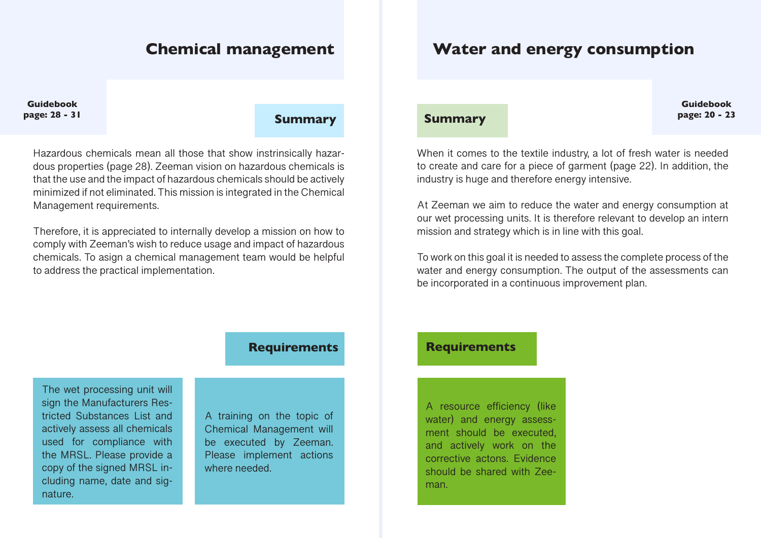# **Chemical management**

# **Water and energy consumption**

**Guidebook**

# **page: 28 - 31 Summary**

Hazardous chemicals mean all those that show instrinsically hazardous properties (page 28). Zeeman vision on hazardous chemicals is that the use and the impact of hazardous chemicals should be actively minimized if not eliminated. This mission is integrated in the Chemical Management requirements.

Therefore, it is appreciated to internally develop a mission on how to comply with Zeeman's wish to reduce usage and impact of hazardous chemicals. To asign a chemical management team would be helpful to address the practical implementation.

**Guidebook page: 20 - 23 Summary**

When it comes to the textile industry, a lot of fresh water is needed to create and care for a piece of garment (page 22). In addition, the industry is huge and therefore energy intensive.

At Zeeman we aim to reduce the water and energy consumption at our wet processing units. It is therefore relevant to develop an intern mission and strategy which is in line with this goal.

To work on this goal it is needed to assess the complete process of the water and energy consumption. The output of the assessments can be incorporated in a continuous improvement plan.

## **Requirements**

The wet processing unit will sign the Manufacturers Restricted Substances List and actively assess all chemicals used for compliance with the MRSL. Please provide a copy of the signed MRSL including name, date and signature.

A training on the topic of Chemical Management will be executed by Zeeman. Please implement actions where needed.

## **Requirements**

A resource efficiency (like water) and energy assessment should be executed, and actively work on the corrective actons. Evidence should be shared with Zeeman.